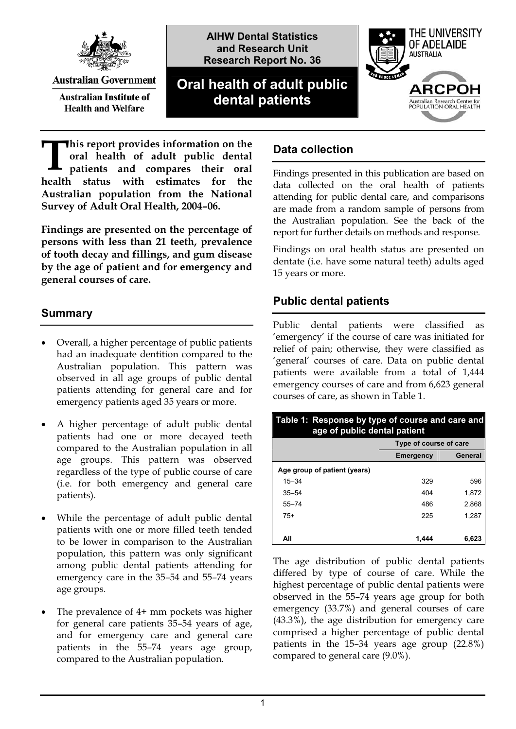

**Australian Government** 

**Australian Institute of Health and Welfare** 

**AIHW Dental Statistics and Research Unit Research Report No. 36**

# **Oral health of adult public dental patients**



**his report provides information on the oral health of adult public dental patients and compares their oral h** his report provides information on the oral health of adult public dental patients and compares their oral health status with estimates for the **Australian population from the National Survey of Adult Oral Health, 2004–06.** 

**Findings are presented on the percentage of persons with less than 21 teeth, prevalence of tooth decay and fillings, and gum disease by the age of patient and for emergency and general courses of care.** 

## **Summary**

- $\bullet$  Overall, a higher percentage of public patients had an inadequate dentition compared to the Australian population. This pattern was observed in all age groups of public dental patients attending for general care and for emergency patients aged 35 years or more.
- $\bullet$  A higher percentage of adult public dental patients had one or more decayed teeth compared to the Australian population in all age groups. This pattern was observed regardless of the type of public course of care (i.e. for both emergency and general care patients).
- - While the percentage of adult public dental patients with one or more filled teeth tended to be lower in comparison to the Australian population, this pattern was only significant among public dental patients attending for emergency care in the 35–54 and 55–74 years age groups.
- $\bullet$  The prevalence of 4+ mm pockets was higher for general care patients 35–54 years of age, and for emergency care and general care patients in the 55–74 years age group, compared to the Australian population.

## **Data collection**

Findings presented in this publication are based on data collected on the oral health of patients attending for public dental care, and comparisons are made from a random sample of persons from the Australian population. See the back of the report for further details on methods and response.

Findings on oral health status are presented on dentate (i.e. have some natural teeth) adults aged 15 years or more.

## **Public dental patients**

Public dental patients were classified as 'emergency' if the course of care was initiated for relief of pain; otherwise, they were classified as 'general' courses of care. Data on public dental patients were available from a total of 1,444 emergency courses of care and from 6,623 general courses of care, as shown in Table 1.

| Table 1: Response by type of course and care and<br>age of public dental patient |                        |         |
|----------------------------------------------------------------------------------|------------------------|---------|
|                                                                                  | Type of course of care |         |
|                                                                                  | <b>Emergency</b>       | General |
| Age group of patient (years)                                                     |                        |         |
| $15 - 34$                                                                        | 329                    | 596     |
| $35 - 54$                                                                        | 404                    | 1,872   |
| $55 - 74$                                                                        | 486                    | 2,868   |
| $75+$                                                                            | 225                    | 1.287   |
|                                                                                  |                        |         |
| All                                                                              | 1.444                  | 6,623   |

The age distribution of public dental patients differed by type of course of care. While the highest percentage of public dental patients were observed in the 55–74 years age group for both emergency (33.7%) and general courses of care (43.3%), the age distribution for emergency care comprised a higher percentage of public dental patients in the 15–34 years age group (22.8%) compared to general care (9.0%).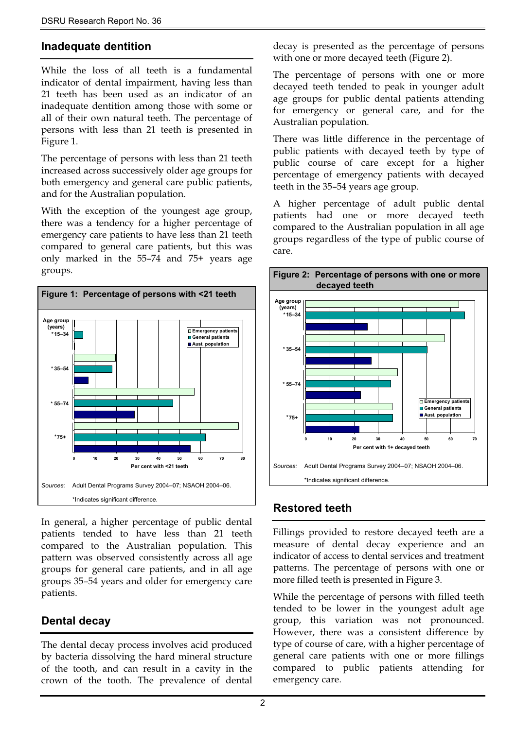#### **Inadequate dentition**

While the loss of all teeth is a fundamental indicator of dental impairment, having less than 21 teeth has been used as an indicator of an inadequate dentition among those with some or all of their own natural teeth. The percentage of persons with less than 21 teeth is presented in Figure 1.

The percentage of persons with less than 21 teeth increased across successively older age groups for both emergency and general care public patients, and for the Australian population.

With the exception of the youngest age group, there was a tendency for a higher percentage of emergency care patients to have less than 21 teeth compared to general care patients, but this was only marked in the 55–74 and 75+ years age groups.



In general, a higher percentage of public dental patients tended to have less than 21 teeth compared to the Australian population. This pattern was observed consistently across all age groups for general care patients, and in all age groups 35–54 years and older for emergency care patients.

## **Dental decay**

The dental decay process involves acid produced by bacteria dissolving the hard mineral structure of the tooth, and can result in a cavity in the crown of the tooth. The prevalence of dental decay is presented as the percentage of persons with one or more decayed teeth (Figure 2).

The percentage of persons with one or more decayed teeth tended to peak in younger adult age groups for public dental patients attending for emergency or general care, and for the Australian population.

There was little difference in the percentage of public patients with decayed teeth by type of public course of care except for a higher percentage of emergency patients with decayed teeth in the 35–54 years age group.

A higher percentage of adult public dental patients had one or more decayed teeth compared to the Australian population in all age groups regardless of the type of public course of care.



## **Restored teeth**

Fillings provided to restore decayed teeth are a measure of dental decay experience and an indicator of access to dental services and treatment patterns. The percentage of persons with one or more filled teeth is presented in Figure 3.

tended to be lower in the youngest adult age While the percentage of persons with filled teeth group, this variation was not pronounced. However, there was a consistent difference by type of course of care, with a higher percentage of general care patients with one or more fillings compared to public patients attending for emergency care.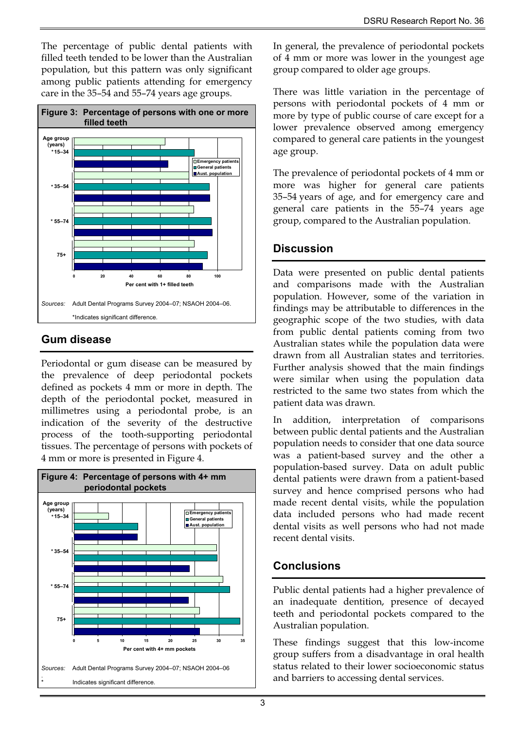The percentage of public dental patients with filled teeth tended to be lower than the Australian population, but this pattern was only significant among public patients attending for emergency care in the 35–54 and 55–74 years age groups.



# **Gum disease**

Periodontal or gum disease can be measured by the prevalence of deep periodontal pockets defined as pockets 4 mm or more in depth. The depth of the periodontal pocket, measured in millimetres using a periodontal probe, is an indication of the severity of the destructive process of the tooth-supporting periodontal tissues. The percentage of persons with pockets of 4 mm or more is presented in Figure 4.



In general, the prevalence of periodontal pockets of 4 mm or more was lower in the youngest age group compared to older age groups.

There was little variation in the percentage of persons with periodontal pockets of 4 mm or more by type of public course of care except for a lower prevalence observed among emergency compared to general care patients in the youngest age group.

The prevalence of periodontal pockets of 4 mm or more was higher for general care patients 35–54 years of age, and for emergency care and general care patients in the 55–74 years age group, compared to the Australian population.

## **Discussion**

Data were presented on public dental patients findings may be attributable to differences in the geographic scope of the two studies, with data restricted to the same two states from which the patient data was drawn. and comparisons made with the Australian population. However, some of the variation in from public dental patients coming from two Australian states while the population data were drawn from all Australian states and territories. Further analysis showed that the main findings were similar when using the population data

population-based survey. Data on adult public dental patients were drawn from a patient-based survey and hence comprised persons who had made recent dental visits, while the population In addition, interpretation of comparisons between public dental patients and the Australian population needs to consider that one data source was a patient-based survey and the other a **(years)** data included persons who had made recent dental visits as well persons who had not made recent dental visits.

# **Conclusions**

Public dental patients had a higher prevalence of an inadequate dentition, presence of decayed teeth and periodontal pockets compared to the Australian population.

These findings suggest that this low-income group suffers from a disadvantage in oral health status related to their lower socioeconomic status and barriers to accessing dental services.